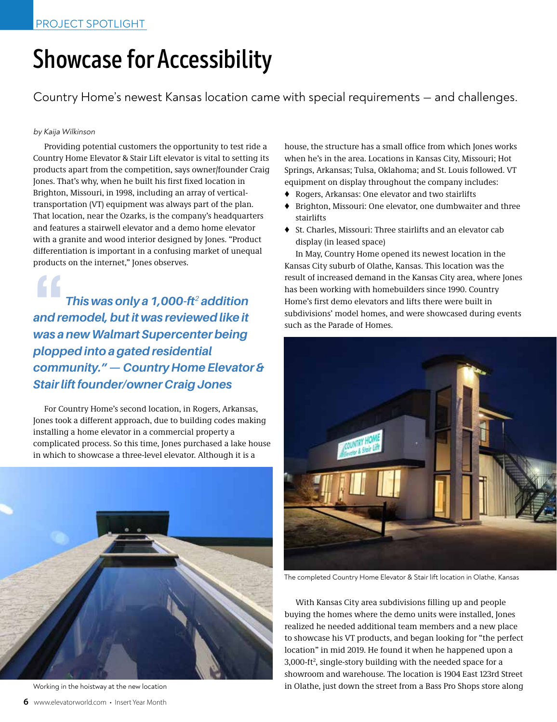## **Showcase for Accessibility**

Country Home's newest Kansas location came with special requirements — and challenges.

## by Kaija Wilkinson

Providing potential customers the opportunity to test ride a Country Home Elevator & Stair Lift elevator is vital to setting its products apart from the competition, says owner/founder Craig Jones. That's why, when he built his first fixed location in Brighton, Missouri, in 1998, including an array of verticaltransportation (VT) equipment was always part of the plan. That location, near the Ozarks, is the company's headquarters and features a stairwell elevator and a demo home elevator with a granite and wood interior designed by Jones. "Product differentiation is important in a confusing market of unequal products on the internet," Jones observes.

**"***This was only a 1,000-ft2 addition and remodel, but it was reviewed like it was a new Walmart Supercenter being plopped into a gated residential community." — Country Home Elevator & Stair lift founder/owner Craig Jones*

For Country Home's second location, in Rogers, Arkansas, Jones took a different approach, due to building codes making installing a home elevator in a commercial property a complicated process. So this time, Jones purchased a lake house in which to showcase a three-level elevator. Although it is a



Working in the hoistway at the new location

house, the structure has a small office from which Jones works when he's in the area. Locations in Kansas City, Missouri; Hot Springs, Arkansas; Tulsa, Oklahoma; and St. Louis followed. VT equipment on display throughout the company includes:

- ♦ Rogers, Arkansas: One elevator and two stairlifts
- ♦ Brighton, Missouri: One elevator, one dumbwaiter and three stairlifts
- ♦ St. Charles, Missouri: Three stairlifts and an elevator cab display (in leased space)

In May, Country Home opened its newest location in the Kansas City suburb of Olathe, Kansas. This location was the result of increased demand in the Kansas City area, where Jones has been working with homebuilders since 1990. Country Home's first demo elevators and lifts there were built in subdivisions' model homes, and were showcased during events such as the Parade of Homes.



The completed Country Home Elevator & Stair lift location in Olathe, Kansas

With Kansas City area subdivisions filling up and people buying the homes where the demo units were installed, Jones realized he needed additional team members and a new place to showcase his VT products, and began looking for "the perfect location" in mid 2019. He found it when he happened upon a 3,000-ft<sup>2</sup>, single-story building with the needed space for a showroom and warehouse. The location is 1904 East 123rd Street in Olathe, just down the street from a Bass Pro Shops store along